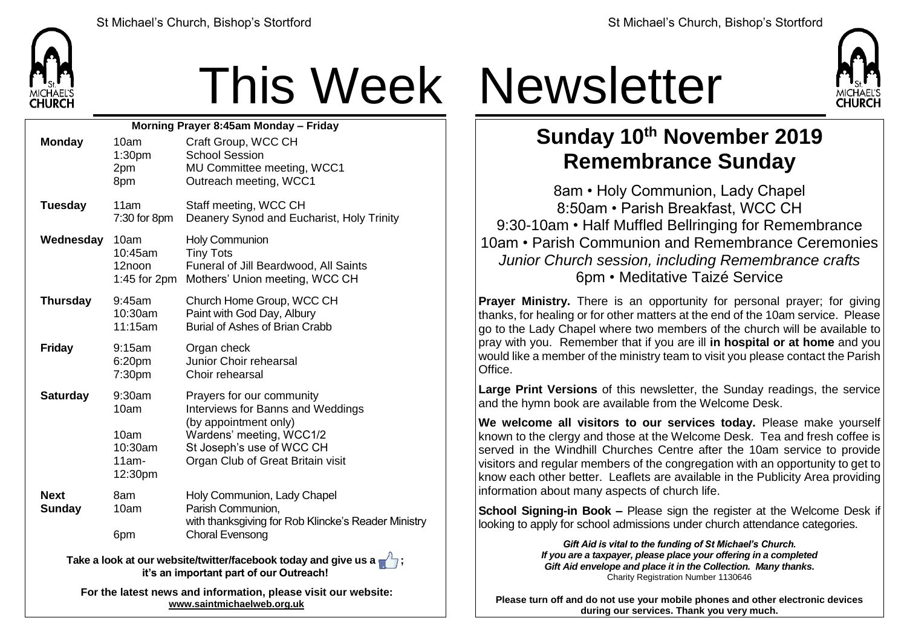

## This Week Newsletter

| Morning Prayer 8:45am Monday - Friday                                                                      |                                                             |                                                                                                                                                                                              |  |  |  |
|------------------------------------------------------------------------------------------------------------|-------------------------------------------------------------|----------------------------------------------------------------------------------------------------------------------------------------------------------------------------------------------|--|--|--|
| <b>Monday</b>                                                                                              | 10am<br>1:30pm<br>2pm<br>8pm                                | Craft Group, WCC CH<br><b>School Session</b><br>MU Committee meeting, WCC1<br>Outreach meeting, WCC1                                                                                         |  |  |  |
| <b>Tuesday</b>                                                                                             | 11am<br>7:30 for 8pm                                        | Staff meeting, WCC CH<br>Deanery Synod and Eucharist, Holy Trinity                                                                                                                           |  |  |  |
| Wednesday                                                                                                  | 10am<br>$10:45$ am<br>12noon<br>1:45 for $2pm$              | <b>Holy Communion</b><br><b>Tiny Tots</b><br>Funeral of Jill Beardwood, All Saints<br>Mothers' Union meeting, WCC CH                                                                         |  |  |  |
| <b>Thursday</b>                                                                                            | 9:45am<br>10:30am<br>11:15am                                | Church Home Group, WCC CH<br>Paint with God Day, Albury<br>Burial of Ashes of Brian Crabb                                                                                                    |  |  |  |
| <b>Friday</b>                                                                                              | 9:15am<br>6:20pm<br>7:30pm                                  | Organ check<br>Junior Choir rehearsal<br>Choir rehearsal                                                                                                                                     |  |  |  |
| <b>Saturday</b>                                                                                            | $9:30$ am<br>10am<br>10am<br>10:30am<br>$11am -$<br>12:30pm | Prayers for our community<br><b>Interviews for Banns and Weddings</b><br>(by appointment only)<br>Wardens' meeting, WCC1/2<br>St Joseph's use of WCC CH<br>Organ Club of Great Britain visit |  |  |  |
| <b>Next</b><br><b>Sunday</b>                                                                               | 8am<br>10am<br>6pm                                          | Holy Communion, Lady Chapel<br>Parish Communion,<br>with thanksgiving for Rob Klincke's Reader Ministry<br><b>Choral Evensong</b>                                                            |  |  |  |
| Take a look at our website/twitter/facebook today and give us a<br>it's an important part of our Outreach! |                                                             |                                                                                                                                                                                              |  |  |  |
|                                                                                                            |                                                             |                                                                                                                                                                                              |  |  |  |

**For the latest news and information, please visit our website: [www.saintmichaelweb.org.uk](http://www.saintmichaelweb.org.uk/)**



## **Sunday 10th November 2019 Remembrance Sunday**

8am • Holy Communion, Lady Chapel 8:50am • Parish Breakfast, WCC CH 9:30-10am • Half Muffled Bellringing for Remembrance 10am • Parish Communion and Remembrance Ceremonies *Junior Church session, including Remembrance crafts* 6pm • Meditative Taizé Service

**Prayer Ministry.** There is an opportunity for personal prayer; for giving thanks, for healing or for other matters at the end of the 10am service. Please go to the Lady Chapel where two members of the church will be available to pray with you. Remember that if you are ill **in hospital or at home** and you would like a member of the ministry team to visit you please contact the Parish **Office** 

**Large Print Versions** of this newsletter, the Sunday readings, the service and the hymn book are available from the Welcome Desk.

**We welcome all visitors to our services today.** Please make yourself known to the clergy and those at the Welcome Desk. Tea and fresh coffee is served in the Windhill Churches Centre after the 10am service to provide visitors and regular members of the congregation with an opportunity to get to know each other better. Leaflets are available in the Publicity Area providing information about many aspects of church life.

**School Signing-in Book –** Please sign the register at the Welcome Desk if looking to apply for school admissions under church attendance categories.

> *Gift Aid is vital to the funding of St Michael's Church. If you are a taxpayer, please place your offering in a completed Gift Aid envelope and place it in the Collection. Many thanks.* Charity Registration Number 1130646

**Please turn off and do not use your mobile phones and other electronic devices during our services. Thank you very much.**